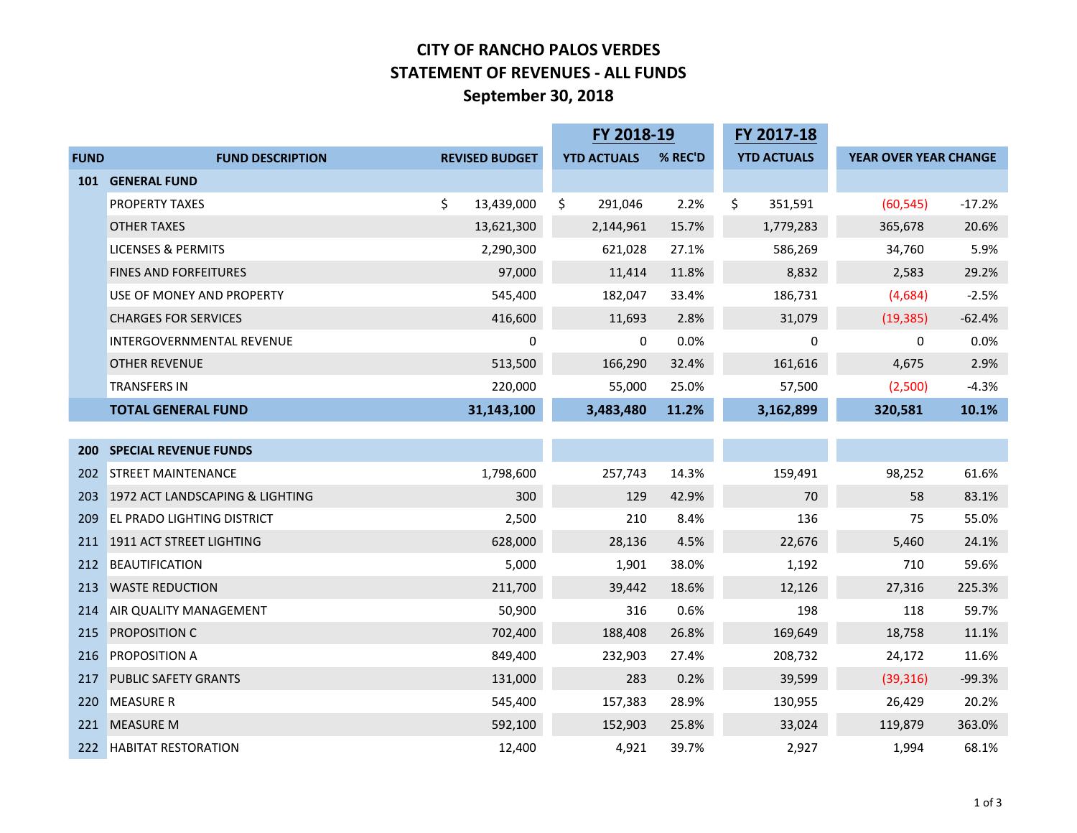## **CITY OF RANCHO PALOS VERDES STATEMENT OF REVENUES - ALL FUNDS September 30, 2018**

|             |                                   |                       | FY 2018-19         |         | FY 2017-18         |                       |          |
|-------------|-----------------------------------|-----------------------|--------------------|---------|--------------------|-----------------------|----------|
| <b>FUND</b> | <b>FUND DESCRIPTION</b>           | <b>REVISED BUDGET</b> | <b>YTD ACTUALS</b> | % REC'D | <b>YTD ACTUALS</b> | YEAR OVER YEAR CHANGE |          |
|             | <b>101 GENERAL FUND</b>           |                       |                    |         |                    |                       |          |
|             | PROPERTY TAXES                    | \$<br>13,439,000      | \$<br>291,046      | 2.2%    | \$<br>351,591      | (60, 545)             | $-17.2%$ |
|             | <b>OTHER TAXES</b>                | 13,621,300            | 2,144,961          | 15.7%   | 1,779,283          | 365,678               | 20.6%    |
|             | <b>LICENSES &amp; PERMITS</b>     | 2,290,300             | 621,028            | 27.1%   | 586,269            | 34,760                | 5.9%     |
|             | <b>FINES AND FORFEITURES</b>      | 97,000                | 11,414             | 11.8%   | 8,832              | 2,583                 | 29.2%    |
|             | USE OF MONEY AND PROPERTY         | 545,400               | 182,047            | 33.4%   | 186,731            | (4,684)               | $-2.5%$  |
|             | <b>CHARGES FOR SERVICES</b>       | 416,600               | 11,693             | 2.8%    | 31,079             | (19, 385)             | $-62.4%$ |
|             | INTERGOVERNMENTAL REVENUE         | 0                     | 0                  | 0.0%    | 0                  | 0                     | 0.0%     |
|             | OTHER REVENUE                     | 513,500               | 166,290            | 32.4%   | 161,616            | 4,675                 | 2.9%     |
|             | <b>TRANSFERS IN</b>               | 220,000               | 55,000             | 25.0%   | 57,500             | (2,500)               | $-4.3%$  |
|             | <b>TOTAL GENERAL FUND</b>         | 31,143,100            | 3,483,480          | 11.2%   | 3,162,899          | 320,581               | 10.1%    |
|             |                                   |                       |                    |         |                    |                       |          |
|             | <b>200 SPECIAL REVENUE FUNDS</b>  |                       |                    |         |                    |                       |          |
| 202         | <b>STREET MAINTENANCE</b>         | 1,798,600             | 257,743            | 14.3%   | 159,491            | 98,252                | 61.6%    |
| 203         | 1972 ACT LANDSCAPING & LIGHTING   | 300                   | 129                | 42.9%   | 70                 | 58                    | 83.1%    |
| 209         | <b>EL PRADO LIGHTING DISTRICT</b> | 2,500                 | 210                | 8.4%    | 136                | 75                    | 55.0%    |
|             | 211 1911 ACT STREET LIGHTING      | 628,000               | 28,136             | 4.5%    | 22,676             | 5,460                 | 24.1%    |
| 212         | <b>BEAUTIFICATION</b>             | 5,000                 | 1,901              | 38.0%   | 1,192              | 710                   | 59.6%    |
| 213         | <b>WASTE REDUCTION</b>            | 211,700               | 39,442             | 18.6%   | 12,126             | 27,316                | 225.3%   |
| 214         | AIR QUALITY MANAGEMENT            | 50,900                | 316                | 0.6%    | 198                | 118                   | 59.7%    |
| 215         | <b>PROPOSITION C</b>              | 702,400               | 188,408            | 26.8%   | 169,649            | 18,758                | 11.1%    |
| 216         | <b>PROPOSITION A</b>              | 849,400               | 232,903            | 27.4%   | 208,732            | 24,172                | 11.6%    |
| 217         | PUBLIC SAFETY GRANTS              | 131,000               | 283                | 0.2%    | 39,599             | (39, 316)             | $-99.3%$ |
| 220         | <b>MEASURE R</b>                  | 545,400               | 157,383            | 28.9%   | 130,955            | 26,429                | 20.2%    |
| 221         | <b>MEASURE M</b>                  | 592,100               | 152,903            | 25.8%   | 33,024             | 119,879               | 363.0%   |
| 222         | <b>HABITAT RESTORATION</b>        | 12,400                | 4,921              | 39.7%   | 2,927              | 1,994                 | 68.1%    |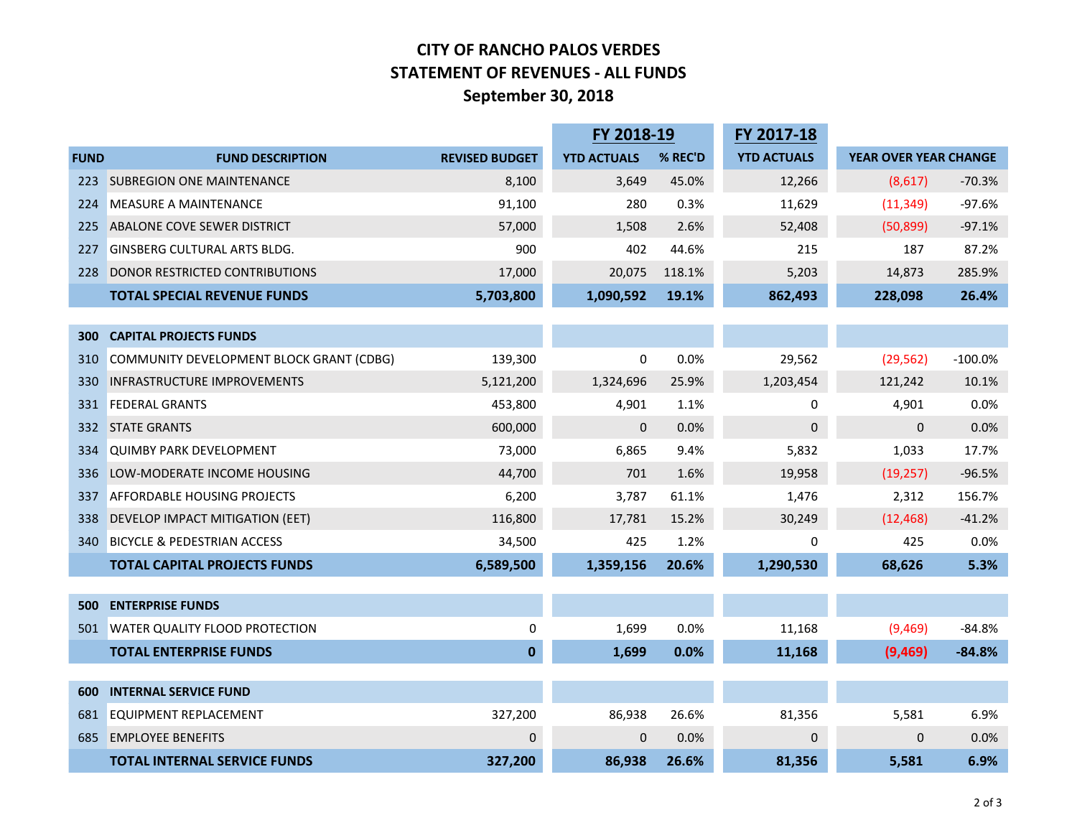## **CITY OF RANCHO PALOS VERDES STATEMENT OF REVENUES - ALL FUNDS September 30, 2018**

|             |                                          |                       | FY 2018-19         |         | FY 2017-18         |                       |           |
|-------------|------------------------------------------|-----------------------|--------------------|---------|--------------------|-----------------------|-----------|
| <b>FUND</b> | <b>FUND DESCRIPTION</b>                  | <b>REVISED BUDGET</b> | <b>YTD ACTUALS</b> | % REC'D | <b>YTD ACTUALS</b> | YEAR OVER YEAR CHANGE |           |
| 223         | <b>SUBREGION ONE MAINTENANCE</b>         | 8,100                 | 3,649              | 45.0%   | 12,266             | (8,617)               | $-70.3%$  |
| 224         | <b>MEASURE A MAINTENANCE</b>             | 91,100                | 280                | 0.3%    | 11,629             | (11, 349)             | $-97.6%$  |
| 225         | ABALONE COVE SEWER DISTRICT              | 57,000                | 1,508              | 2.6%    | 52,408             | (50, 899)             | $-97.1%$  |
| 227         | <b>GINSBERG CULTURAL ARTS BLDG.</b>      | 900                   | 402                | 44.6%   | 215                | 187                   | 87.2%     |
| 228         | DONOR RESTRICTED CONTRIBUTIONS           | 17,000                | 20,075             | 118.1%  | 5,203              | 14,873                | 285.9%    |
|             | <b>TOTAL SPECIAL REVENUE FUNDS</b>       | 5,703,800             | 1,090,592          | 19.1%   | 862,493            | 228,098               | 26.4%     |
|             |                                          |                       |                    |         |                    |                       |           |
| 300         | <b>CAPITAL PROJECTS FUNDS</b>            |                       |                    |         |                    |                       |           |
| 310         | COMMUNITY DEVELOPMENT BLOCK GRANT (CDBG) | 139,300               | 0                  | 0.0%    | 29,562             | (29, 562)             | $-100.0%$ |
| 330         | <b>INFRASTRUCTURE IMPROVEMENTS</b>       | 5,121,200             | 1,324,696          | 25.9%   | 1,203,454          | 121,242               | 10.1%     |
| 331         | <b>FEDERAL GRANTS</b>                    | 453,800               | 4,901              | 1.1%    | 0                  | 4,901                 | 0.0%      |
| 332         | <b>STATE GRANTS</b>                      | 600,000               | $\mathbf{0}$       | 0.0%    | 0                  | $\mathbf{0}$          | 0.0%      |
| 334         | <b>QUIMBY PARK DEVELOPMENT</b>           | 73,000                | 6,865              | 9.4%    | 5,832              | 1,033                 | 17.7%     |
| 336         | LOW-MODERATE INCOME HOUSING              | 44,700                | 701                | 1.6%    | 19,958             | (19, 257)             | $-96.5%$  |
| 337         | <b>AFFORDABLE HOUSING PROJECTS</b>       | 6,200                 | 3,787              | 61.1%   | 1,476              | 2,312                 | 156.7%    |
| 338         | DEVELOP IMPACT MITIGATION (EET)          | 116,800               | 17,781             | 15.2%   | 30,249             | (12, 468)             | $-41.2%$  |
| 340         | <b>BICYCLE &amp; PEDESTRIAN ACCESS</b>   | 34,500                | 425                | 1.2%    | 0                  | 425                   | 0.0%      |
|             | <b>TOTAL CAPITAL PROJECTS FUNDS</b>      | 6,589,500             | 1,359,156          | 20.6%   | 1,290,530          | 68,626                | 5.3%      |
|             |                                          |                       |                    |         |                    |                       |           |
| 500         | <b>ENTERPRISE FUNDS</b>                  |                       |                    |         |                    |                       |           |
| 501         | <b>WATER QUALITY FLOOD PROTECTION</b>    | 0                     | 1,699              | 0.0%    | 11,168             | (9,469)               | $-84.8%$  |
|             | <b>TOTAL ENTERPRISE FUNDS</b>            | 0                     | 1,699              | 0.0%    | 11,168             | (9,469)               | $-84.8%$  |
|             |                                          |                       |                    |         |                    |                       |           |
| 600         | <b>INTERNAL SERVICE FUND</b>             |                       |                    |         |                    |                       |           |
| 681         | EQUIPMENT REPLACEMENT                    | 327,200               | 86,938             | 26.6%   | 81,356             | 5,581                 | 6.9%      |
| 685         | <b>EMPLOYEE BENEFITS</b>                 | $\mathbf{0}$          | $\Omega$           | 0.0%    | $\mathbf 0$        | 0                     | 0.0%      |
|             | <b>TOTAL INTERNAL SERVICE FUNDS</b>      | 327,200               | 86,938             | 26.6%   | 81,356             | 5,581                 | 6.9%      |